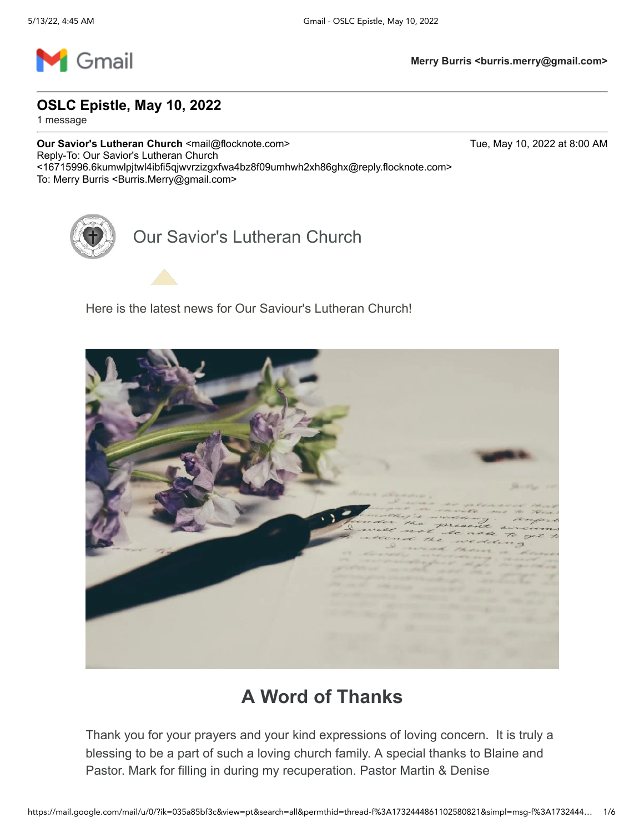

**OSLC Epistle, May 10, 2022**

1 message

**Our Savior's Lutheran Church <mail@flocknote.com> Tue, May 10, 2022 at 8:00 AM** Reply-To: Our Savior's Lutheran Church <16715996.6kumwlpjtwl4ibfi5qjwvrzizgxfwa4bz8f09umhwh2xh86ghx@reply.flocknote.com> To: Merry Burris < Burris.Merry@gmail.com>

Our Savior's Lutheran Church

Here is the latest news for Our Saviour's Lutheran Church!



## **A Word of Thanks**

Thank you for your prayers and your kind expressions of loving concern. It is truly a blessing to be a part of such a loving church family. A special thanks to Blaine and Pastor. Mark for filling in during my recuperation. Pastor Martin & Denise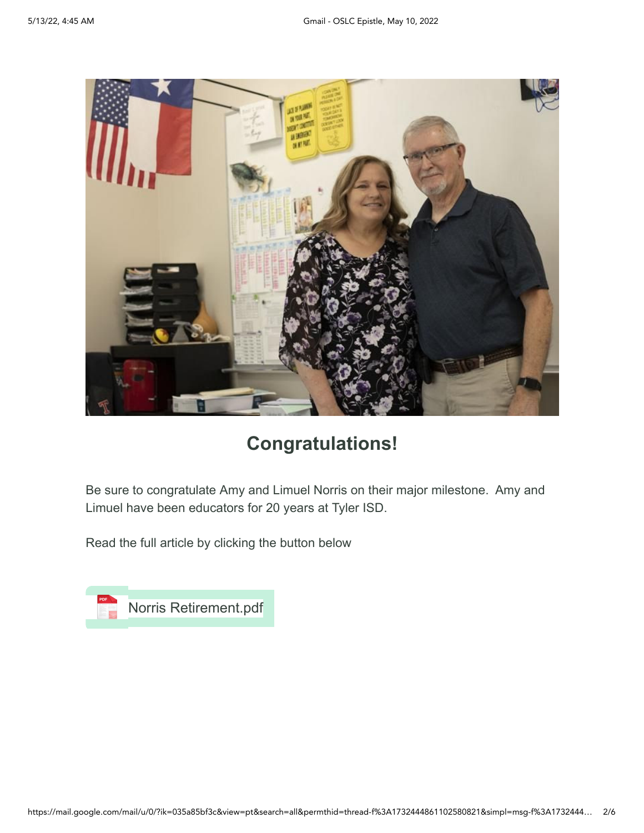

### **Congratulations!**

Be sure to congratulate Amy and Limuel Norris on their major milestone. Amy and Limuel have been educators for 20 years at Tyler ISD.

Read the full article by clicking the button below

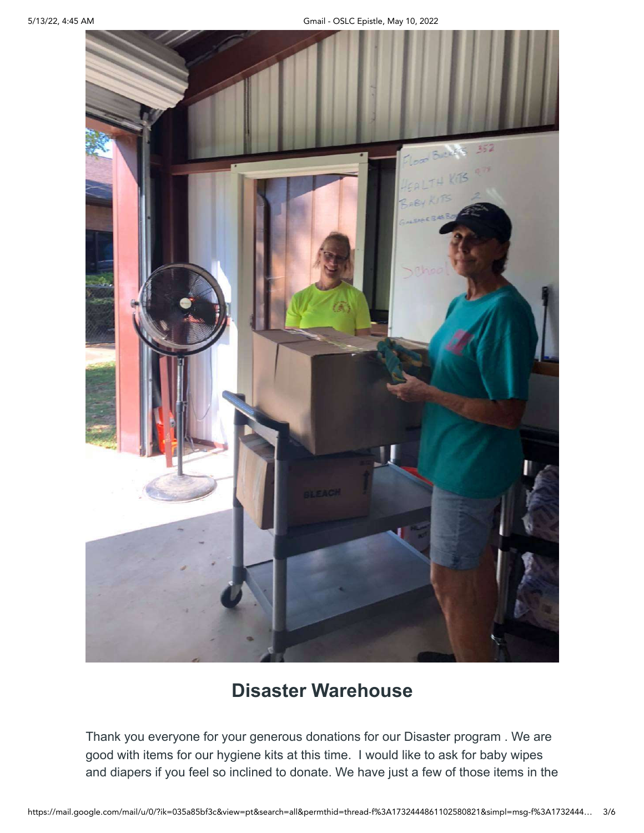

## **Disaster Warehouse**

Thank you everyone for your generous donations for our Disaster program . We are good with items for our hygiene kits at this time. I would like to ask for baby wipes and diapers if you feel so inclined to donate. We have just a few of those items in the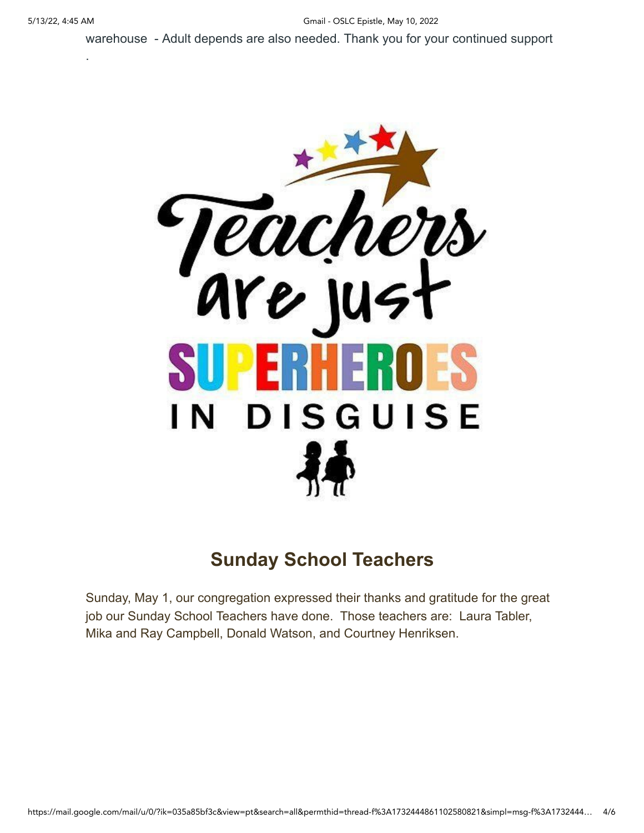.

warehouse - Adult depends are also needed. Thank you for your continued support



# **Sunday School Teachers**

Sunday, May 1, our congregation expressed their thanks and gratitude for the great job our Sunday School Teachers have done. Those teachers are: Laura Tabler, Mika and Ray Campbell, Donald Watson, and Courtney Henriksen.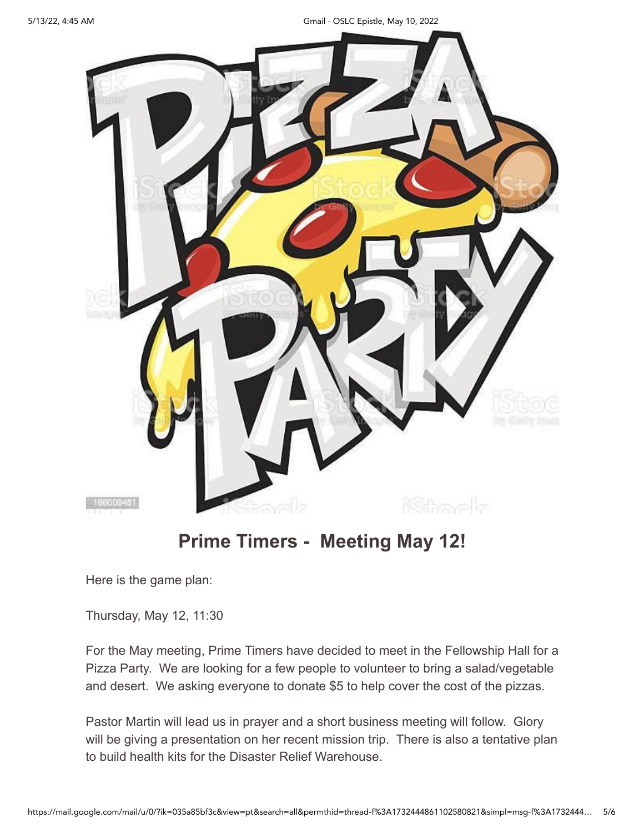5/13/22, 4:45 AM Gmail - OSLC Epistle, May 10, 2022



# **Prime Timers - Meeting May 12!**

Here is the game plan:

Thursday, May 12, 11:30

For the May meeting, Prime Timers have decided to meet in the Fellowship Hall for a Pizza Party. We are looking for a few people to volunteer to bring a salad/vegetable and desert. We asking everyone to donate \$5 to help cover the cost of the pizzas.

Pastor Martin will lead us in prayer and a short business meeting will follow. Glory will be giving a presentation on her recent mission trip. There is also a tentative plan to build health kits for the Disaster Relief Warehouse.